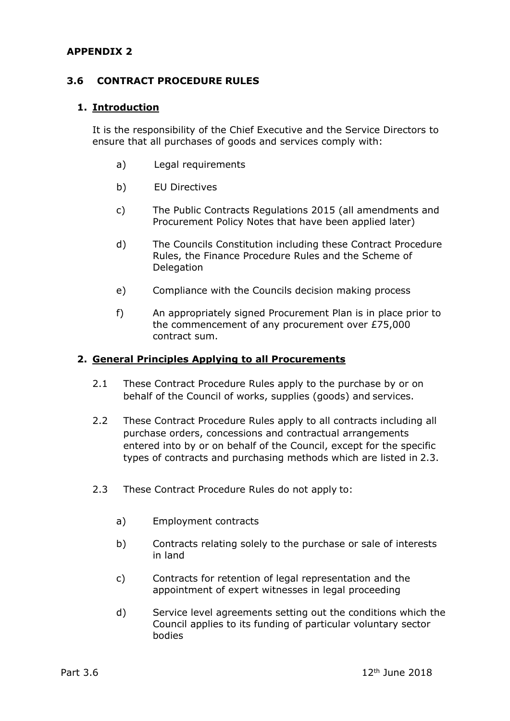### **APPENDIX 2**

#### **3.6 CONTRACT PROCEDURE RULES**

#### **1. Introduction**

It is the responsibility of the Chief Executive and the Service Directors to ensure that all purchases of goods and services comply with:

- a) Legal requirements
- b) EU Directives
- c) The Public Contracts Regulations 2015 (all amendments and Procurement Policy Notes that have been applied later)
- d) The Councils Constitution including these Contract Procedure Rules, the Finance Procedure Rules and the Scheme of Delegation
- e) Compliance with the Councils decision making process
- f) An appropriately signed Procurement Plan is in place prior to the commencement of any procurement over £75,000 contract sum.

#### **2. General Principles Applying to all Procurements**

- 2.1 These Contract Procedure Rules apply to the purchase by or on behalf of the Council of works, supplies (goods) and services.
- 2.2 These Contract Procedure Rules apply to all contracts including all purchase orders, concessions and contractual arrangements entered into by or on behalf of the Council, except for the specific types of contracts and purchasing methods which are listed in 2.3.
- 2.3 These Contract Procedure Rules do not apply to:
	- a) Employment contracts
	- b) Contracts relating solely to the purchase or sale of interests in land
	- c) Contracts for retention of legal representation and the appointment of expert witnesses in legal proceeding
	- d) Service level agreements setting out the conditions which the Council applies to its funding of particular voluntary sector bodies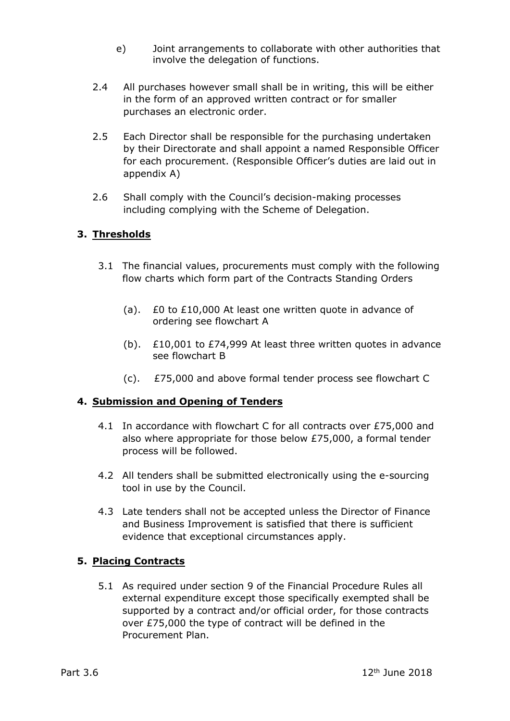- e) Joint arrangements to collaborate with other authorities that involve the delegation of functions.
- 2.4 All purchases however small shall be in writing, this will be either in the form of an approved written contract or for smaller purchases an electronic order.
- 2.5 Each Director shall be responsible for the purchasing undertaken by their Directorate and shall appoint a named Responsible Officer for each procurement. (Responsible Officer's duties are laid out in appendix A)
- 2.6 Shall comply with the Council's decision-making processes including complying with the Scheme of Delegation.

# **3. Thresholds**

- 3.1 The financial values, procurements must comply with the following flow charts which form part of the Contracts Standing Orders
	- (a). £0 to £10,000 At least one written quote in advance of ordering see flowchart A
	- (b).  $\angle$  £10,001 to £74,999 At least three written quotes in advance see flowchart B
	- (c). £75,000 and above formal tender process see flowchart C

# **4. Submission and Opening of Tenders**

- 4.1 In accordance with flowchart C for all contracts over £75,000 and also where appropriate for those below £75,000, a formal tender process will be followed.
- 4.2 All tenders shall be submitted electronically using the e-sourcing tool in use by the Council.
- 4.3 Late tenders shall not be accepted unless the Director of Finance and Business Improvement is satisfied that there is sufficient evidence that exceptional circumstances apply.

# **5. Placing Contracts**

5.1 As required under section 9 of the Financial Procedure Rules all external expenditure except those specifically exempted shall be supported by a contract and/or official order, for those contracts over £75,000 the type of contract will be defined in the Procurement Plan.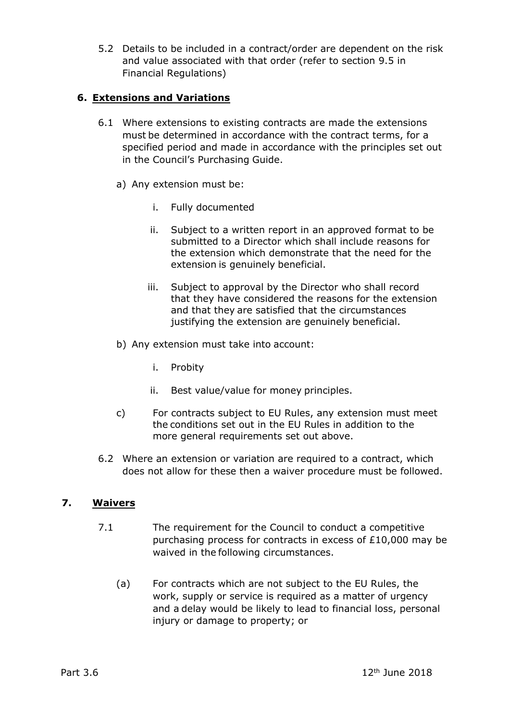5.2 Details to be included in a contract/order are dependent on the risk and value associated with that order (refer to section 9.5 in Financial Regulations)

## **6. Extensions and Variations**

- 6.1 Where extensions to existing contracts are made the extensions must be determined in accordance with the contract terms, for a specified period and made in accordance with the principles set out in the Council's Purchasing Guide.
	- a) Any extension must be:
		- i. Fully documented
		- ii. Subject to a written report in an approved format to be submitted to a Director which shall include reasons for the extension which demonstrate that the need for the extension is genuinely beneficial.
		- iii. Subject to approval by the Director who shall record that they have considered the reasons for the extension and that they are satisfied that the circumstances justifying the extension are genuinely beneficial.
	- b) Any extension must take into account:
		- i. Probity
		- ii. Best value/value for money principles.
	- c) For contracts subject to EU Rules, any extension must meet the conditions set out in the EU Rules in addition to the more general requirements set out above.
- 6.2 Where an extension or variation are required to a contract, which does not allow for these then a waiver procedure must be followed.

### **7. Waivers**

- 7.1 The requirement for the Council to conduct a competitive purchasing process for contracts in excess of £10,000 may be waived in the following circumstances.
	- (a) For contracts which are not subject to the EU Rules, the work, supply or service is required as a matter of urgency and a delay would be likely to lead to financial loss, personal injury or damage to property; or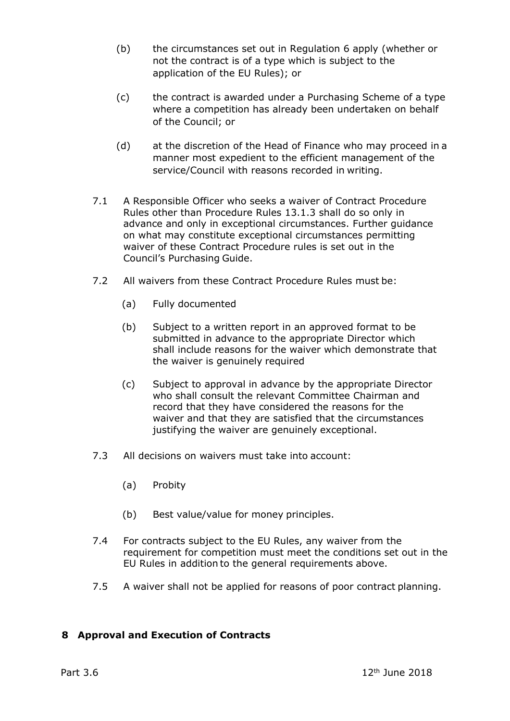- (b) the circumstances set out in Regulation 6 apply (whether or not the contract is of a type which is subject to the application of the EU Rules); or
- (c) the contract is awarded under a Purchasing Scheme of a type where a competition has already been undertaken on behalf of the Council; or
- (d) at the discretion of the Head of Finance who may proceed in a manner most expedient to the efficient management of the service/Council with reasons recorded in writing.
- 7.1 A Responsible Officer who seeks a waiver of Contract Procedure Rules other than Procedure Rules 13.1.3 shall do so only in advance and only in exceptional circumstances. Further guidance on what may constitute exceptional circumstances permitting waiver of these Contract Procedure rules is set out in the Council's Purchasing Guide.
- 7.2 All waivers from these Contract Procedure Rules must be:
	- (a) Fully documented
	- (b) Subject to a written report in an approved format to be submitted in advance to the appropriate Director which shall include reasons for the waiver which demonstrate that the waiver is genuinely required
	- (c) Subject to approval in advance by the appropriate Director who shall consult the relevant Committee Chairman and record that they have considered the reasons for the waiver and that they are satisfied that the circumstances justifying the waiver are genuinely exceptional.
- 7.3 All decisions on waivers must take into account:
	- (a) Probity
	- (b) Best value/value for money principles.
- 7.4 For contracts subject to the EU Rules, any waiver from the requirement for competition must meet the conditions set out in the EU Rules in addition to the general requirements above.
- 7.5 A waiver shall not be applied for reasons of poor contract planning.

# **8 Approval and Execution of Contracts**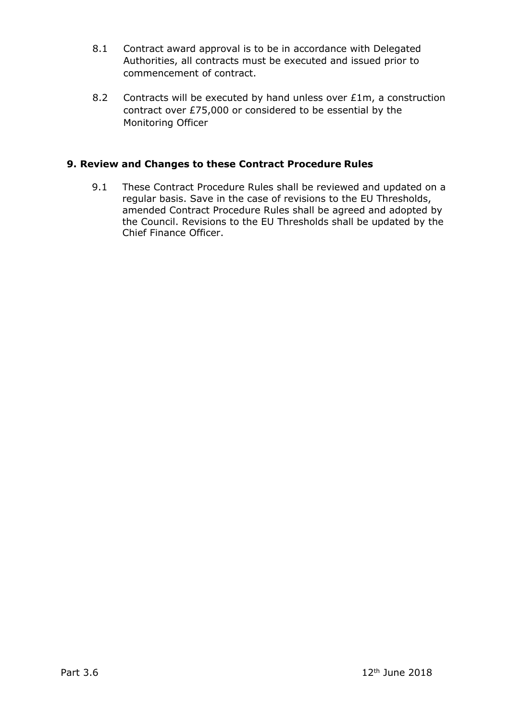- 8.1 Contract award approval is to be in accordance with Delegated Authorities, all contracts must be executed and issued prior to commencement of contract.
- 8.2 Contracts will be executed by hand unless over £1m, a construction contract over £75,000 or considered to be essential by the Monitoring Officer

## **9. Review and Changes to these Contract Procedure Rules**

9.1 These Contract Procedure Rules shall be reviewed and updated on a regular basis. Save in the case of revisions to the EU Thresholds, amended Contract Procedure Rules shall be agreed and adopted by the Council. Revisions to the EU Thresholds shall be updated by the Chief Finance Officer.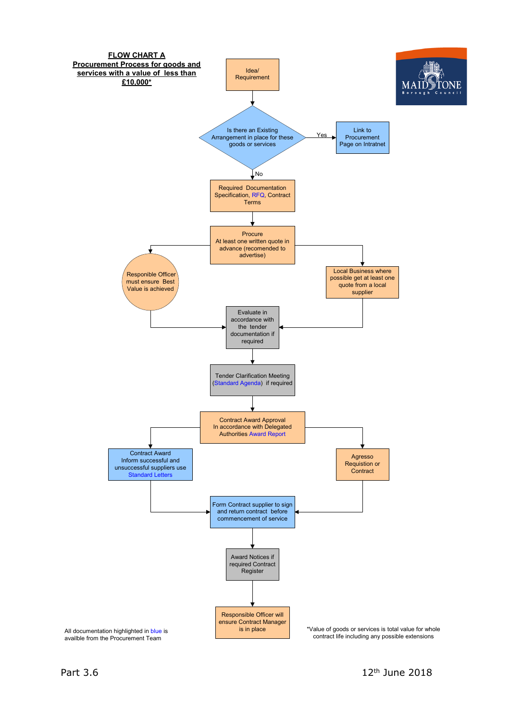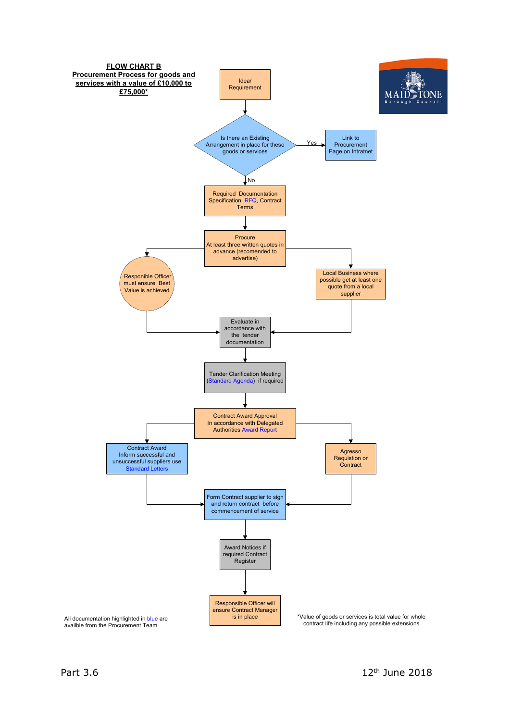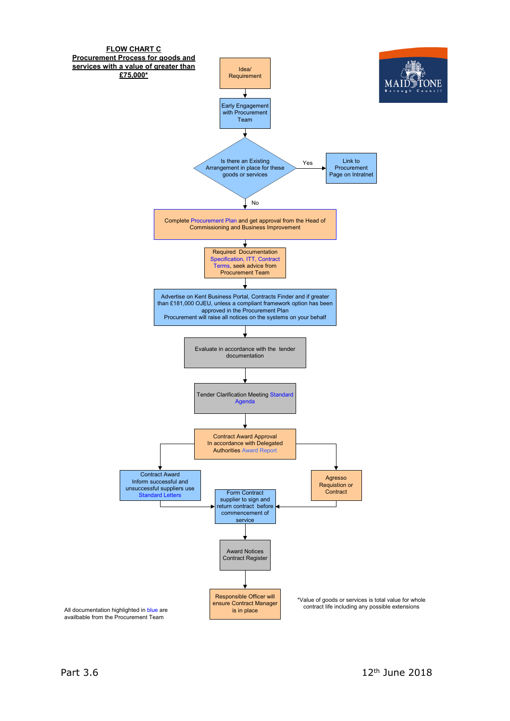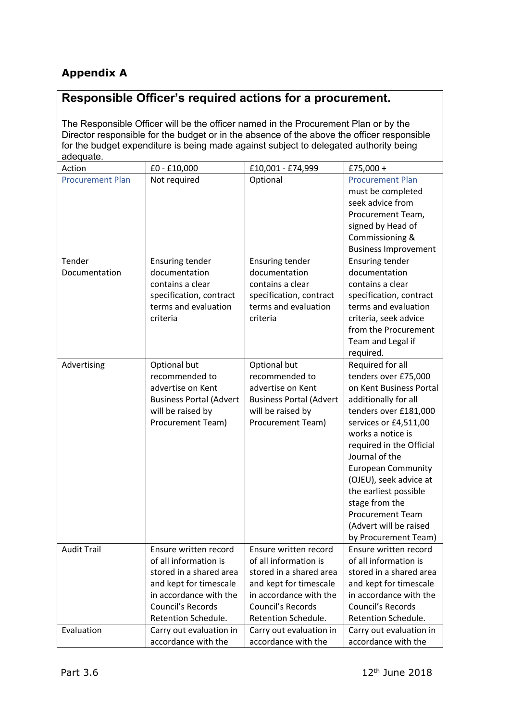# **Appendix A**

# **Responsible Officer's required actions for a procurement.**

The Responsible Officer will be the officer named in the Procurement Plan or by the Director responsible for the budget or in the absence of the above the officer responsible for the budget expenditure is being made against subject to delegated authority being adequate.

| Action                  | £0 - £10,000                   | £10,001 - £74,999              | £75,000 +                   |
|-------------------------|--------------------------------|--------------------------------|-----------------------------|
| <b>Procurement Plan</b> | Not required                   | Optional                       | <b>Procurement Plan</b>     |
|                         |                                |                                | must be completed           |
|                         |                                |                                | seek advice from            |
|                         |                                |                                | Procurement Team,           |
|                         |                                |                                | signed by Head of           |
|                         |                                |                                | Commissioning &             |
|                         |                                |                                | <b>Business Improvement</b> |
| Tender                  | <b>Ensuring tender</b>         | <b>Ensuring tender</b>         | <b>Ensuring tender</b>      |
| Documentation           | documentation                  | documentation                  | documentation               |
|                         | contains a clear               | contains a clear               | contains a clear            |
|                         | specification, contract        | specification, contract        | specification, contract     |
|                         | terms and evaluation           | terms and evaluation           | terms and evaluation        |
|                         | criteria                       | criteria                       | criteria, seek advice       |
|                         |                                |                                | from the Procurement        |
|                         |                                |                                | Team and Legal if           |
|                         |                                |                                | required.                   |
| Advertising             | Optional but                   | Optional but                   | Required for all            |
|                         | recommended to                 | recommended to                 | tenders over £75,000        |
|                         | advertise on Kent              | advertise on Kent              | on Kent Business Portal     |
|                         | <b>Business Portal (Advert</b> | <b>Business Portal (Advert</b> | additionally for all        |
|                         | will be raised by              | will be raised by              | tenders over £181,000       |
|                         | Procurement Team)              | Procurement Team)              | services or £4,511,00       |
|                         |                                |                                | works a notice is           |
|                         |                                |                                | required in the Official    |
|                         |                                |                                | Journal of the              |
|                         |                                |                                | <b>European Community</b>   |
|                         |                                |                                | (OJEU), seek advice at      |
|                         |                                |                                | the earliest possible       |
|                         |                                |                                | stage from the              |
|                         |                                |                                | <b>Procurement Team</b>     |
|                         |                                |                                | (Advert will be raised      |
|                         |                                |                                | by Procurement Team)        |
| <b>Audit Trail</b>      | Ensure written record          | Ensure written record          | Ensure written record       |
|                         | of all information is          | of all information is          | of all information is       |
|                         | stored in a shared area        | stored in a shared area        | stored in a shared area     |
|                         | and kept for timescale         | and kept for timescale         | and kept for timescale      |
|                         | in accordance with the         | in accordance with the         | in accordance with the      |
|                         | Council's Records              | Council's Records              | Council's Records           |
|                         | Retention Schedule.            | Retention Schedule.            | Retention Schedule.         |
| Evaluation              | Carry out evaluation in        | Carry out evaluation in        | Carry out evaluation in     |
|                         | accordance with the            | accordance with the            | accordance with the         |